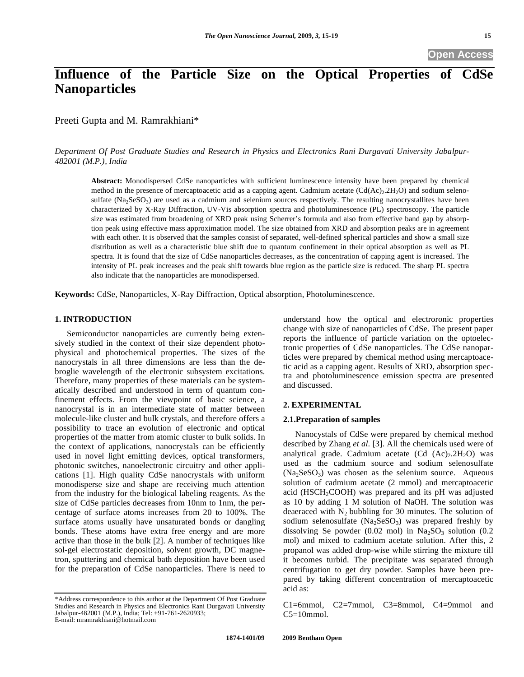# **Influence of the Particle Size on the Optical Properties of CdSe Nanoparticles**

Preeti Gupta and M. Ramrakhiani\*

*Department Of Post Graduate Studies and Research in Physics and Electronics Rani Durgavati University Jabalpur-482001 (M.P.), India* 

**Abstract:** Monodispersed CdSe nanoparticles with sufficient luminescence intensity have been prepared by chemical method in the presence of mercaptoacetic acid as a capping agent. Cadmium acetate  $(Cd(Ac)<sub>2</sub>.2H<sub>2</sub>O)$  and sodium selenosulfate (Na<sub>2</sub>SeSO<sub>3</sub>) are used as a cadmium and selenium sources respectively. The resulting nanocrystallites have been characterized by X-Ray Diffraction, UV-Vis absorption spectra and photoluminescence (PL) spectroscopy. The particle size was estimated from broadening of XRD peak using Scherrer's formula and also from effective band gap by absorption peak using effective mass approximation model. The size obtained from XRD and absorption peaks are in agreement with each other. It is observed that the samples consist of separated, well-defined spherical particles and show a small size distribution as well as a characteristic blue shift due to quantum confinement in their optical absorption as well as PL spectra. It is found that the size of CdSe nanoparticles decreases, as the concentration of capping agent is increased. The intensity of PL peak increases and the peak shift towards blue region as the particle size is reduced. The sharp PL spectra also indicate that the nanoparticles are monodispersed.

**Keywords:** CdSe, Nanoparticles, X-Ray Diffraction, Optical absorption, Photoluminescence.

# **1. INTRODUCTION**

Semiconductor nanoparticles are currently being extensively studied in the context of their size dependent photophysical and photochemical properties. The sizes of the nanocrystals in all three dimensions are less than the debroglie wavelength of the electronic subsystem excitations. Therefore, many properties of these materials can be systematically described and understood in term of quantum confinement effects. From the viewpoint of basic science, a nanocrystal is in an intermediate state of matter between molecule-like cluster and bulk crystals, and therefore offers a possibility to trace an evolution of electronic and optical properties of the matter from atomic cluster to bulk solids. In the context of applications, nanocrystals can be efficiently used in novel light emitting devices, optical transformers, photonic switches, nanoelectronic circuitry and other applications [1]. High quality CdSe nanocrystals with uniform monodisperse size and shape are receiving much attention from the industry for the biological labeling reagents. As the size of CdSe particles decreases from 10nm to 1nm, the percentage of surface atoms increases from 20 to 100%. The surface atoms usually have unsaturated bonds or dangling bonds. These atoms have extra free energy and are more active than those in the bulk [2]. A number of techniques like sol-gel electrostatic deposition, solvent growth, DC magnetron, sputtering and chemical bath deposition have been used for the preparation of CdSe nanoparticles. There is need to

understand how the optical and electroronic properties change with size of nanoparticles of CdSe. The present paper reports the influence of particle variation on the optoelectronic properties of CdSe nanoparticles. The CdSe nanoparticles were prepared by chemical method using mercaptoacetic acid as a capping agent. Results of XRD, absorption spectra and photoluminescence emission spectra are presented and discussed.

# **2. EXPERIMENTAL**

## **2.1.Preparation of samples**

Nanocystals of CdSe were prepared by chemical method described by Zhang *et al.* [3]. All the chemicals used were of analytical grade. Cadmium acetate  $(Cd (Ac)<sub>2</sub>2H<sub>2</sub>O)$  was used as the cadmium source and sodium selenosulfate  $(Na_2SeSO_3)$  was chosen as the selenium source. Aqueous solution of cadmium acetate (2 mmol) and mercaptoacetic acid ( $HSCH<sub>2</sub>COOH$ ) was prepared and its pH was adjusted as 10 by adding 1 M solution of NaOH. The solution was deaeraced with  $N_2$  bubbling for 30 minutes. The solution of sodium selenosulfate  $(Na<sub>2</sub>SeSO<sub>3</sub>)$  was prepared freshly by dissolving Se powder (0.02 mol) in  $Na<sub>2</sub>SO<sub>3</sub>$  solution (0.2 mol) and mixed to cadmium acetate solution. After this, 2 propanol was added drop-wise while stirring the mixture till it becomes turbid. The precipitate was separated through centrifugation to get dry powder. Samples have been prepared by taking different concentration of mercaptoacetic acid as:

C1=6mmol, C2=7mmol, C3=8mmol, C4=9mmol and  $C5=10$ mmol.

<sup>\*</sup>Address correspondence to this author at the Department Of Post Graduate Studies and Research in Physics and Electronics Rani Durgavati University Jabalpur-482001 (M.P.), India; Tel: +91-761-2620933; E-mail: mramrakhiani@hotmail.com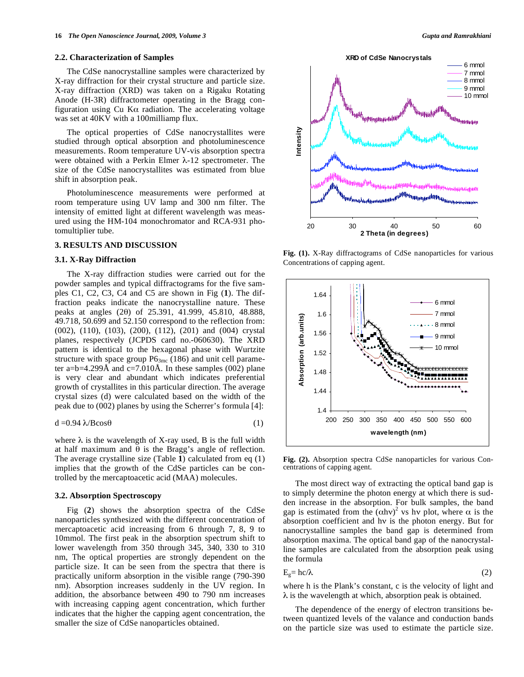#### **2.2. Characterization of Samples**

The CdSe nanocrystalline samples were characterized by X-ray diffraction for their crystal structure and particle size. X-ray diffraction (XRD) was taken on a Rigaku Rotating Anode (H-3R) diffractometer operating in the Bragg configuration using Cu K $\alpha$  radiation. The accelerating voltage was set at 40KV with a 100milliamp flux.

The optical properties of CdSe nanocrystallites were studied through optical absorption and photoluminescence measurements. Room temperature UV-vis absorption spectra were obtained with a Perkin Elmer  $\lambda$ -12 spectrometer. The size of the CdSe nanocrystallites was estimated from blue shift in absorption peak.

Photoluminescence measurements were performed at room temperature using UV lamp and 300 nm filter. The intensity of emitted light at different wavelength was measured using the HM-104 monochromator and RCA-931 photomultiplier tube.

## **3. RESULTS AND DISCUSSION**

## **3.1. X-Ray Diffraction**

The X-ray diffraction studies were carried out for the powder samples and typical diffractograms for the five samples C1, C2, C3, C4 and C5 are shown in Fig (**1**). The diffraction peaks indicate the nanocrystalline nature. These peaks at angles (20) of 25.391, 41.999, 45.810, 48.888, 49.718, 50.699 and 52.150 correspond to the reflection from: (002), (110), (103), (200), (112), (201) and (004) crystal planes, respectively (JCPDS card no.-060630). The XRD pattern is identical to the hexagonal phase with Wurtzite structure with space group  $P6_{3mc}$  (186) and unit cell parameter a=b=4.299Å and c=7.010Å. In these samples (002) plane is very clear and abundant which indicates preferential growth of crystallites in this particular direction. The average crystal sizes (d) were calculated based on the width of the peak due to (002) planes by using the Scherrer's formula [4]:

$$
d = 0.94 \lambda / B \cos \theta \tag{1}
$$

where  $\lambda$  is the wavelength of X-ray used, B is the full width at half maximum and  $\theta$  is the Bragg's angle of reflection. The average crystalline size (Table **1**) calculated from eq (1) implies that the growth of the CdSe particles can be controlled by the mercaptoacetic acid (MAA) molecules.

### **3.2. Absorption Spectroscopy**

Fig (**2**) shows the absorption spectra of the CdSe nanoparticles synthesized with the different concentration of mercaptoacetic acid increasing from 6 through 7, 8, 9 to 10mmol. The first peak in the absorption spectrum shift to lower wavelength from 350 through 345, 340, 330 to 310 nm, The optical properties are strongly dependent on the particle size. It can be seen from the spectra that there is practically uniform absorption in the visible range (790-390 nm). Absorption increases suddenly in the UV region. In addition, the absorbance between 490 to 790 nm increases with increasing capping agent concentration, which further indicates that the higher the capping agent concentration, the smaller the size of CdSe nanoparticles obtained.





**Fig. (1).** X-Ray diffractograms of CdSe nanoparticles for various Concentrations of capping agent.



**Fig. (2).** Absorption spectra CdSe nanoparticles for various Concentrations of capping agent.

The most direct way of extracting the optical band gap is to simply determine the photon energy at which there is sudden increase in the absorption. For bulk samples, the band gap is estimated from the  $(\alpha h v)^2$  vs hv plot, where  $\alpha$  is the absorption coefficient and hy is the photon energy. But for nanocrystalline samples the band gap is determined from absorption maxima. The optical band gap of the nanocrystalline samples are calculated from the absorption peak using the formula

$$
E_g = hc/\lambda \tag{2}
$$

where h is the Plank's constant, c is the velocity of light and  $\lambda$  is the wavelength at which, absorption peak is obtained.

The dependence of the energy of electron transitions between quantized levels of the valance and conduction bands on the particle size was used to estimate the particle size.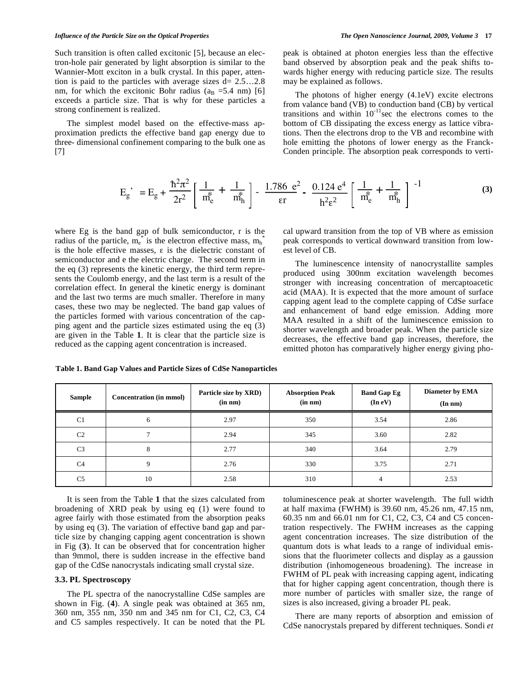Such transition is often called excitonic [5], because an electron-hole pair generated by light absorption is similar to the Wannier-Mott exciton in a bulk crystal. In this paper, attention is paid to the particles with average sizes  $d= 2.5...2.8$ nm, for which the excitonic Bohr radius ( $a_B = 5.4$  nm) [6] exceeds a particle size. That is why for these particles a strong confinement is realized.

The simplest model based on the effective-mass approximation predicts the effective band gap energy due to three- dimensional confinement comparing to the bulk one as [7]

peak is obtained at photon energies less than the effective band observed by absorption peak and the peak shifts towards higher energy with reducing particle size. The results may be explained as follows.

The photons of higher energy (4.1eV) excite electrons from valance band (VB) to conduction band (CB) by vertical transitions and within  $10^{-11}$  sec the electrons comes to the bottom of CB dissipating the excess energy as lattice vibrations. Then the electrons drop to the VB and recombine with hole emitting the photons of lower energy as the Franck-Conden principle. The absorption peak corresponds to verti-

$$
E_g' = E_g + \frac{\hbar^2 \pi^2}{2r^2} \left[ \frac{1}{m_e^*} + \frac{1}{m_h^*} \right] - \frac{1.786 e^2}{\varepsilon r} - \frac{0.124 e^4}{h^2 \varepsilon^2} \left[ \frac{1}{m_e^*} + \frac{1}{m_h^*} \right]^{-1}
$$
 (3)

where Eg is the band gap of bulk semiconductor, r is the radius of the particle,  $m_e^*$  is the electron effective mass,  $m_h^*$ is the hole effective masses,  $\varepsilon$  is the dielectric constant of semiconductor and e the electric charge. The second term in the eq (3) represents the kinetic energy, the third term represents the Coulomb energy, and the last term is a result of the correlation effect. In general the kinetic energy is dominant and the last two terms are much smaller. Therefore in many cases, these two may be neglected. The band gap values of the particles formed with various concentration of the capping agent and the particle sizes estimated using the eq (3) are given in the Table **1**. It is clear that the particle size is reduced as the capping agent concentration is increased.

cal upward transition from the top of VB where as emission peak corresponds to vertical downward transition from lowest level of CB.

The luminescence intensity of nanocrystallite samples produced using 300nm excitation wavelength becomes stronger with increasing concentration of mercaptoacetic acid (MAA). It is expected that the more amount of surface capping agent lead to the complete capping of CdSe surface and enhancement of band edge emission. Adding more MAA resulted in a shift of the luminescence emission to shorter wavelength and broader peak. When the particle size decreases, the effective band gap increases, therefore, the emitted photon has comparatively higher energy giving pho-

| Sample         | <b>Concentration (in mmol)</b> | Particle size by XRD)<br>(in nm) | <b>Absorption Peak</b><br>$(in \ nm)$ | <b>Band Gap Eg</b><br>(In eV) | Diameter by EMA<br>$(In\ nm)$ |
|----------------|--------------------------------|----------------------------------|---------------------------------------|-------------------------------|-------------------------------|
| C <sub>1</sub> | 6                              | 2.97                             | 350                                   | 3.54                          | 2.86                          |
| C <sub>2</sub> | ┑                              | 2.94                             | 345                                   | 3.60                          | 2.82                          |
| C <sub>3</sub> | 8                              | 2.77                             | 340                                   | 3.64                          | 2.79                          |
| C <sub>4</sub> | 9                              | 2.76                             | 330                                   | 3.75                          | 2.71                          |
| C <sub>5</sub> | 10                             | 2.58                             | 310                                   | $\overline{4}$                | 2.53                          |

**Table 1. Band Gap Values and Particle Sizes of CdSe Nanoparticles** 

It is seen from the Table **1** that the sizes calculated from broadening of XRD peak by using eq (1) were found to agree fairly with those estimated from the absorption peaks by using eq (3). The variation of effective band gap and particle size by changing capping agent concentration is shown in Fig (**3**). It can be observed that for concentration higher than 9mmol, there is sudden increase in the effective band gap of the CdSe nanocrystals indicating small crystal size.

### **3.3. PL Spectroscopy**

The PL spectra of the nanocrystalline CdSe samples are shown in Fig. (**4**). A single peak was obtained at 365 nm, 360 nm, 355 nm, 350 nm and 345 nm for C1, C2, C3, C4 and C5 samples respectively. It can be noted that the PL toluminescence peak at shorter wavelength. The full width at half maxima (FWHM) is 39.60 nm, 45.26 nm, 47.15 nm, 60.35 nm and 66.01 nm for C1, C2, C3, C4 and C5 concentration respectively. The FWHM increases as the capping agent concentration increases. The size distribution of the quantum dots is what leads to a range of individual emissions that the fluorimeter collects and display as a gaussion distribution (inhomogeneous broadening). The increase in FWHM of PL peak with increasing capping agent, indicating that for higher capping agent concentration, though there is more number of particles with smaller size, the range of sizes is also increased, giving a broader PL peak.

There are many reports of absorption and emission of CdSe nanocrystals prepared by different techniques. Sondi *et*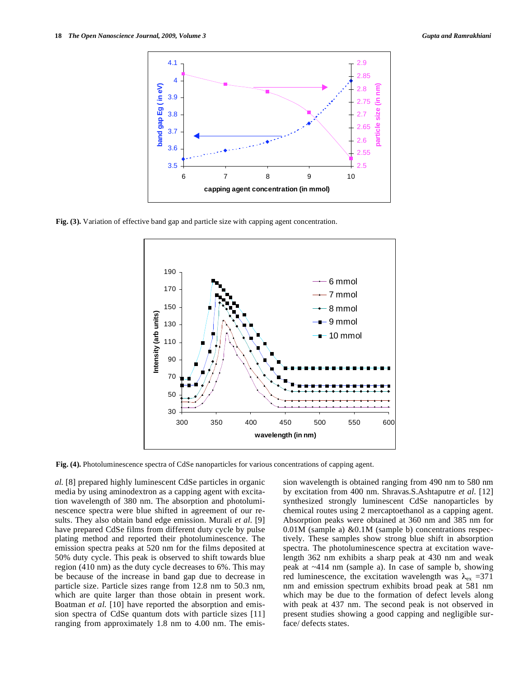

**Fig. (3).** Variation of effective band gap and particle size with capping agent concentration.



**Fig. (4).** Photoluminescence spectra of CdSe nanoparticles for various concentrations of capping agent.

*al.* [8] prepared highly luminescent CdSe particles in organic media by using aminodextron as a capping agent with excitation wavelength of 380 nm. The absorption and photoluminescence spectra were blue shifted in agreement of our results. They also obtain band edge emission. Murali *et al.* [9] have prepared CdSe films from different duty cycle by pulse plating method and reported their photoluminescence. The emission spectra peaks at 520 nm for the films deposited at 50% duty cycle. This peak is observed to shift towards blue region (410 nm) as the duty cycle decreases to 6%. This may be because of the increase in band gap due to decrease in particle size. Particle sizes range from 12.8 nm to 50.3 nm, which are quite larger than those obtain in present work. Boatman *et al.* [10] have reported the absorption and emission spectra of CdSe quantum dots with particle sizes [11] ranging from approximately 1.8 nm to 4.00 nm. The emission wavelength is obtained ranging from 490 nm to 580 nm by excitation from 400 nm. Shravas.S.Ashtaputre *et al.* [12] synthesized strongly luminescent CdSe nanoparticles by chemical routes using 2 mercaptoethanol as a capping agent. Absorption peaks were obtained at 360 nm and 385 nm for 0.01M (sample a) &0.1M (sample b) concentrations respectively. These samples show strong blue shift in absorption spectra. The photoluminescence spectra at excitation wavelength 362 nm exhibits a sharp peak at 430 nm and weak peak at ~414 nm (sample a). In case of sample b, showing red luminescence, the excitation wavelength was  $\lambda_{ex}$  =371 nm and emission spectrum exhibits broad peak at 581 nm which may be due to the formation of defect levels along with peak at 437 nm. The second peak is not observed in present studies showing a good capping and negligible surface/ defects states.